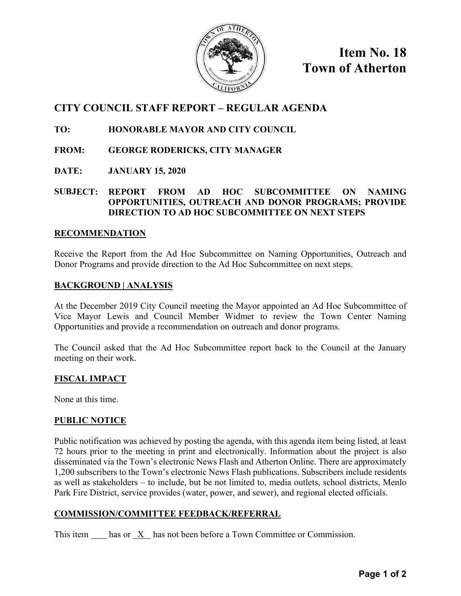

**Item No. 18 Town of Atherton** 

# **CITY COUNCIL STAFF REPORT – REGULAR AGENDA**

# **TO: HONORABLE MAYOR AND CITY COUNCIL**

- **FROM: GEORGE RODERICKS, CITY MANAGER**
- **DATE: JANUARY 15, 2020**

## **SUBJECT: REPORT FROM AD HOC SUBCOMMITTEE ON NAMING OPPORTUNITIES, OUTREACH AND DONOR PROGRAMS; PROVIDE DIRECTION TO AD HOC SUBCOMMITTEE ON NEXT STEPS**

#### **RECOMMENDATION**

Receive the Report from the Ad Hoc Subcommittee on Naming Opportunities, Outreach and Donor Programs and provide direction to the Ad Hoc Subcommittee on next steps.

#### **BACKGROUND | ANALYSIS**

At the December 2019 City Council meeting the Mayor appointed an Ad Hoc Subcommittee of Vice Mayor Lewis and Council Member Widmer to review the Town Center Naming Opportunities and provide a recommendation on outreach and donor programs.

The Council asked that the Ad Hoc Subcommittee report back to the Council at the January meeting on their work.

## **FISCAL IMPACT**

None at this time.

#### **PUBLIC NOTICE**

Public notification was achieved by posting the agenda, with this agenda item being listed, at least 72 hours prior to the meeting in print and electronically. Information about the project is also disseminated via the Town's electronic News Flash and Atherton Online. There are approximately 1,200 subscribers to the Town's electronic News Flash publications. Subscribers include residents as well as stakeholders – to include, but be not limited to, media outlets, school districts, Menlo Park Fire District, service provides (water, power, and sewer), and regional elected officials.

#### **COMMISSION/COMMITTEE FEEDBACK/REFERRAL**

This item has or X has not been before a Town Committee or Commission.